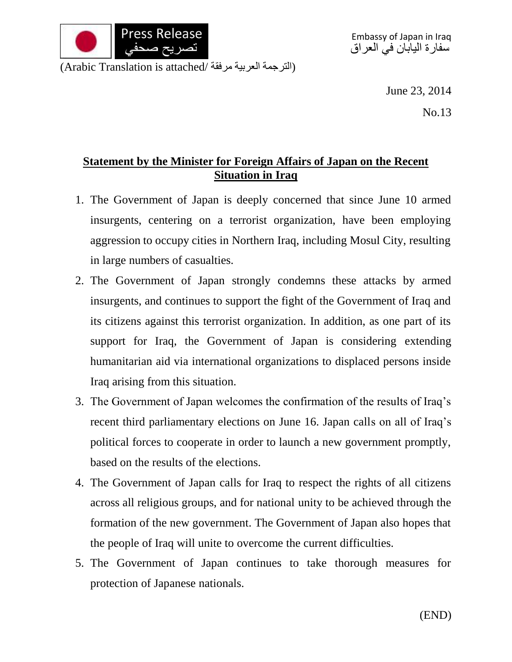

(الترجمة العربية مرفقة /Arabic Translation is attached)

June 23, 2014

No.13

## **Statement by the Minister for Foreign Affairs of Japan on the Recent Situation in Iraq**

- 1. The Government of Japan is deeply concerned that since June 10 armed insurgents, centering on a terrorist organization, have been employing aggression to occupy cities in Northern Iraq, including Mosul City, resulting in large numbers of casualties.
- 2. The Government of Japan strongly condemns these attacks by armed insurgents, and continues to support the fight of the Government of Iraq and its citizens against this terrorist organization. In addition, as one part of its support for Iraq, the Government of Japan is considering extending humanitarian aid via international organizations to displaced persons inside Iraq arising from this situation.
- 3. The Government of Japan welcomes the confirmation of the results of Iraq's recent third parliamentary elections on June 16. Japan calls on all of Iraq's political forces to cooperate in order to launch a new government promptly, based on the results of the elections.
- 4. The Government of Japan calls for Iraq to respect the rights of all citizens across all religious groups, and for national unity to be achieved through the formation of the new government. The Government of Japan also hopes that the people of Iraq will unite to overcome the current difficulties.
- 5. The Government of Japan continues to take thorough measures for protection of Japanese nationals.